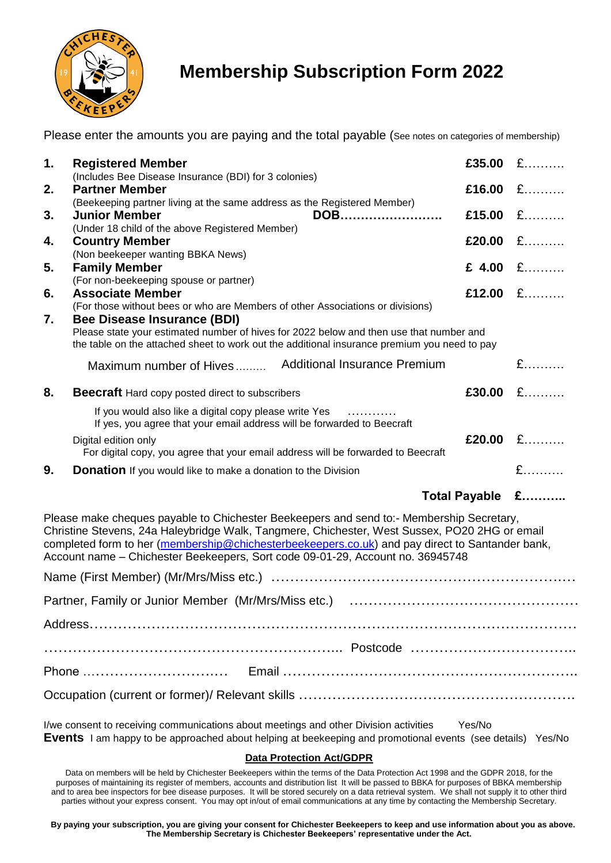

## **Membership Subscription Form 2022**

Please enter the amounts you are paying and the total payable (See notes on categories of membership)  $\overline{A}$ 

| 1. | <b>Registered Member</b>                                                                                                                                                                                               | £35.00 | £                             |
|----|------------------------------------------------------------------------------------------------------------------------------------------------------------------------------------------------------------------------|--------|-------------------------------|
| 2. | (Includes Bee Disease Insurance (BDI) for 3 colonies)<br><b>Partner Member</b>                                                                                                                                         | £16.00 | $\mathbf{f}$                  |
| 3. | (Beekeeping partner living at the same address as the Registered Member)<br><b>Junior Member</b><br>DOB                                                                                                                | £15.00 | $\mathbf{f}$ and $\mathbf{f}$ |
| 4. | (Under 18 child of the above Registered Member)<br><b>Country Member</b><br>(Non beekeeper wanting BBKA News)                                                                                                          | £20.00 |                               |
| 5. | <b>Family Member</b><br>(For non-beekeeping spouse or partner)                                                                                                                                                         |        | £ 4.00 £                      |
| 6. | <b>Associate Member</b><br>(For those without bees or who are Members of other Associations or divisions)                                                                                                              | £12.00 |                               |
| 7. | Bee Disease Insurance (BDI)<br>Please state your estimated number of hives for 2022 below and then use that number and<br>the table on the attached sheet to work out the additional insurance premium you need to pay |        |                               |
|    | <b>Additional Insurance Premium</b><br>Maximum number of Hives                                                                                                                                                         |        |                               |
| 8. | <b>Beecraft</b> Hard copy posted direct to subscribers                                                                                                                                                                 | £30.00 | $\mathbf{f}$                  |
|    | If you would also like a digital copy please write Yes<br>If yes, you agree that your email address will be forwarded to Beecraft                                                                                      |        |                               |
|    | Digital edition only<br>For digital copy, you agree that your email address will be forwarded to Beecraft                                                                                                              | £20.00 | £                             |
| 9. | <b>Donation</b> If you would like to make a donation to the Division                                                                                                                                                   |        |                               |

## **Total Payable £………..**

Please make cheques payable to Chichester Beekeepers and send to:- Membership Secretary, Christine Stevens, 24a Haleybridge Walk, Tangmere, Chichester, West Sussex, PO20 2HG or email completed form to her [\(membership@chichesterbeekeepers.co.uk\)](mailto:membership@chichesterbeekeepers.co.uk) and pay direct to Santander bank, Account name – Chichester Beekeepers, Sort code 09-01-29, Account no. 36945748

I/we consent to receiving communications about meetings and other Division activities Yes/No **Events** I am happy to be approached about helping at beekeeping and promotional events (see details) Yes/No

## **Data Protection Act/GDPR**

Data on members will be held by Chichester Beekeepers within the terms of the Data Protection Act 1998 and the GDPR 2018, for the purposes of maintaining its register of members, accounts and distribution list It will be passed to BBKA for purposes of BBKA membership and to area bee inspectors for bee disease purposes. It will be stored securely on a data retrieval system. We shall not supply it to other third parties without your express consent. You may opt in/out of email communications at any time by contacting the Membership Secretary.

**By paying your subscription, you are giving your consent for Chichester Beekeepers to keep and use information about you as above. The Membership Secretary is Chichester Beekeepers' representative under the Act.**